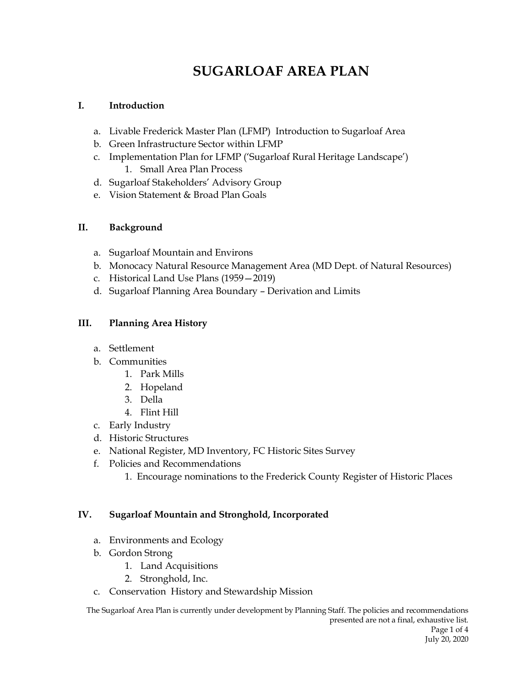# **SUGARLOAF AREA PLAN**

#### **I. Introduction**

- a. Livable Frederick Master Plan (LFMP) Introduction to Sugarloaf Area
- b. Green Infrastructure Sector within LFMP
- c. Implementation Plan for LFMP ('Sugarloaf Rural Heritage Landscape') 1. Small Area Plan Process
- d. Sugarloaf Stakeholders' Advisory Group
- e. Vision Statement & Broad Plan Goals

### **II. Background**

- a. Sugarloaf Mountain and Environs
- b. Monocacy Natural Resource Management Area (MD Dept. of Natural Resources)
- c. Historical Land Use Plans (1959—2019)
- d. Sugarloaf Planning Area Boundary Derivation and Limits

### **III. Planning Area History**

- a. Settlement
- b. Communities
	- 1. Park Mills
	- 2. Hopeland
	- 3. Della
	- 4. Flint Hill
- c. Early Industry
- d. Historic Structures
- e. National Register, MD Inventory, FC Historic Sites Survey
- f. Policies and Recommendations
	- 1. Encourage nominations to the Frederick County Register of Historic Places

### **IV. Sugarloaf Mountain and Stronghold, Incorporated**

- a. Environments and Ecology
- b. Gordon Strong
	- 1. Land Acquisitions
	- 2. Stronghold, Inc.
- c. Conservation History and Stewardship Mission

The Sugarloaf Area Plan is currently under development by Planning Staff. The policies and recommendations presented are not a final, exhaustive list. Page 1 of 4 July 20, 2020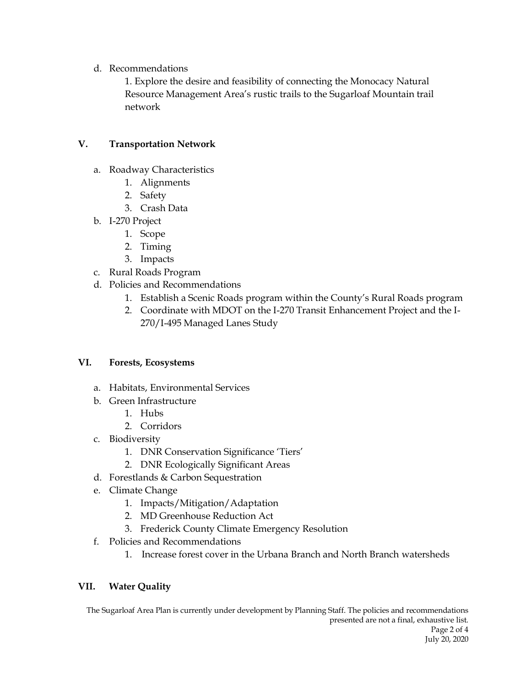d. Recommendations

1. Explore the desire and feasibility of connecting the Monocacy Natural Resource Management Area's rustic trails to the Sugarloaf Mountain trail network

#### **V. Transportation Network**

- a. Roadway Characteristics
	- 1. Alignments
	- 2. Safety
	- 3. Crash Data
- b. I-270 Project
	- 1. Scope
	- 2. Timing
	- 3. Impacts
- c. Rural Roads Program
- d. Policies and Recommendations
	- 1. Establish a Scenic Roads program within the County's Rural Roads program
	- 2. Coordinate with MDOT on the I-270 Transit Enhancement Project and the I-270/I-495 Managed Lanes Study

#### **VI. Forests, Ecosystems**

- a. Habitats, Environmental Services
- b. Green Infrastructure
	- 1. Hubs
	- 2. Corridors
- c. Biodiversity
	- 1. DNR Conservation Significance 'Tiers'
	- 2. DNR Ecologically Significant Areas
- d. Forestlands & Carbon Sequestration
- e. Climate Change
	- 1. Impacts/Mitigation/Adaptation
	- 2. MD Greenhouse Reduction Act
	- 3. Frederick County Climate Emergency Resolution
- f. Policies and Recommendations
	- 1. Increase forest cover in the Urbana Branch and North Branch watersheds

### **VII. Water Quality**

The Sugarloaf Area Plan is currently under development by Planning Staff. The policies and recommendations presented are not a final, exhaustive list. Page 2 of 4 July 20, 2020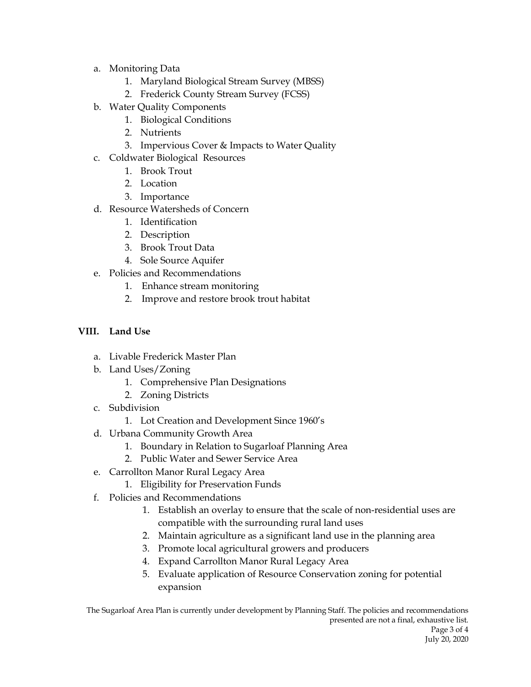- a. Monitoring Data
	- 1. Maryland Biological Stream Survey (MBSS)
	- 2. Frederick County Stream Survey (FCSS)
- b. Water Quality Components
	- 1. Biological Conditions
	- 2. Nutrients
	- 3. Impervious Cover & Impacts to Water Quality
- c. Coldwater Biological Resources
	- 1. Brook Trout
	- 2. Location
	- 3. Importance
- d. Resource Watersheds of Concern
	- 1. Identification
	- 2. Description
	- 3. Brook Trout Data
	- 4. Sole Source Aquifer
- e. Policies and Recommendations
	- 1. Enhance stream monitoring
	- 2. Improve and restore brook trout habitat

## **VIII. Land Use**

- a. Livable Frederick Master Plan
- b. Land Uses/Zoning
	- 1. Comprehensive Plan Designations
	- 2. Zoning Districts
- c. Subdivision
	- 1. Lot Creation and Development Since 1960's
- d. Urbana Community Growth Area
	- 1. Boundary in Relation to Sugarloaf Planning Area
	- 2. Public Water and Sewer Service Area
- e. Carrollton Manor Rural Legacy Area
	- 1. Eligibility for Preservation Funds
- f. Policies and Recommendations
	- 1. Establish an overlay to ensure that the scale of non-residential uses are compatible with the surrounding rural land uses
	- 2. Maintain agriculture as a significant land use in the planning area
	- 3. Promote local agricultural growers and producers
	- 4. Expand Carrollton Manor Rural Legacy Area
	- 5. Evaluate application of Resource Conservation zoning for potential expansion

The Sugarloaf Area Plan is currently under development by Planning Staff. The policies and recommendations presented are not a final, exhaustive list. Page 3 of 4 July 20, 2020